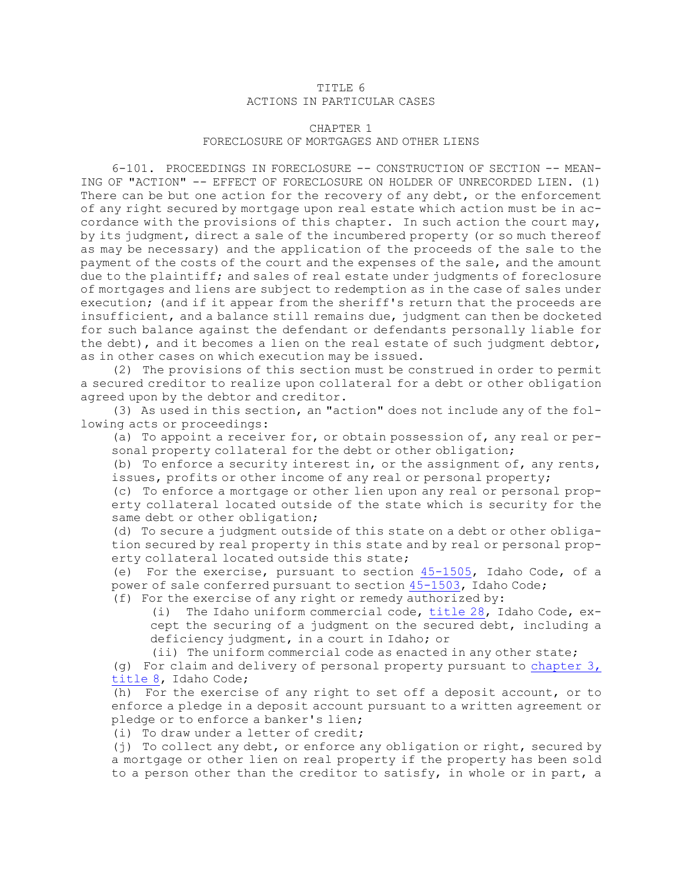## TITLE 6 ACTIONS IN PARTICULAR CASES

## CHAPTER 1 FORECLOSURE OF MORTGAGES AND OTHER LIENS

6-101. PROCEEDINGS IN FORECLOSURE -- CONSTRUCTION OF SECTION -- MEAN-ING OF "ACTION" -- EFFECT OF FORECLOSURE ON HOLDER OF UNRECORDED LIEN. (1) There can be but one action for the recovery of any debt, or the enforcement of any right secured by mortgage upon real estate which action must be in accordance with the provisions of this chapter. In such action the court may, by its judgment, direct <sup>a</sup> sale of the incumbered property (or so much thereof as may be necessary) and the application of the proceeds of the sale to the payment of the costs of the court and the expenses of the sale, and the amount due to the plaintiff; and sales of real estate under judgments of foreclosure of mortgages and liens are subject to redemption as in the case of sales under execution; (and if it appear from the sheriff's return that the proceeds are insufficient, and <sup>a</sup> balance still remains due, judgment can then be docketed for such balance against the defendant or defendants personally liable for the debt), and it becomes <sup>a</sup> lien on the real estate of such judgment debtor, as in other cases on which execution may be issued.

(2) The provisions of this section must be construed in order to permit <sup>a</sup> secured creditor to realize upon collateral for <sup>a</sup> debt or other obligation agreed upon by the debtor and creditor.

(3) As used in this section, an "action" does not include any of the following acts or proceedings:

(a) To appoint <sup>a</sup> receiver for, or obtain possession of, any real or personal property collateral for the debt or other obligation;

(b) To enforce <sup>a</sup> security interest in, or the assignment of, any rents, issues, profits or other income of any real or personal property;

(c) To enforce <sup>a</sup> mortgage or other lien upon any real or personal property collateral located outside of the state which is security for the same debt or other obligation;

(d) To secure <sup>a</sup> judgment outside of this state on <sup>a</sup> debt or other obligation secured by real property in this state and by real or personal property collateral located outside this state;

(e) For the exercise, pursuant to section [45-1505](https://legislature.idaho.gov/statutesrules/idstat/Title45/T45CH15/SECT45-1505), Idaho Code, of <sup>a</sup> power of sale conferred pursuant to section [45-1503](https://legislature.idaho.gov/statutesrules/idstat/Title45/T45CH15/SECT45-1503), Idaho Code;

(f) For the exercise of any right or remedy authorized by:

(i) The Idaho uniform commercial code, [title](https://legislature.idaho.gov/statutesrules/idstat/Title28/) 28, Idaho Code, except the securing of <sup>a</sup> judgment on the secured debt, including <sup>a</sup> deficiency judgment, in <sup>a</sup> court in Idaho; or

(ii) The uniform commercial code as enacted in any other state;

(g) For claim and delivery of personal property pursuant to [chapter](https://legislature.idaho.gov/statutesrules/idstat/Title8/T8CH3) 3, [title](https://legislature.idaho.gov/statutesrules/idstat/Title8/T8CH3) 8, Idaho Code;

(h) For the exercise of any right to set off <sup>a</sup> deposit account, or to enforce <sup>a</sup> pledge in <sup>a</sup> deposit account pursuant to <sup>a</sup> written agreement or pledge or to enforce <sup>a</sup> banker's lien;

(i) To draw under <sup>a</sup> letter of credit;

(j) To collect any debt, or enforce any obligation or right, secured by <sup>a</sup> mortgage or other lien on real property if the property has been sold to <sup>a</sup> person other than the creditor to satisfy, in whole or in part, <sup>a</sup>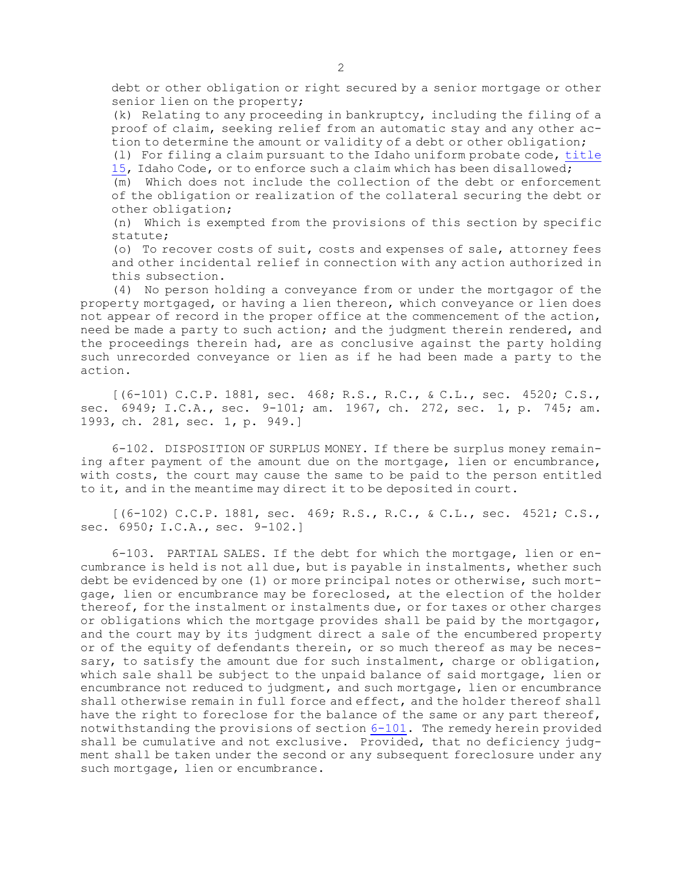debt or other obligation or right secured by <sup>a</sup> senior mortgage or other senior lien on the property;

(k) Relating to any proceeding in bankruptcy, including the filing of <sup>a</sup> proof of claim, seeking relief from an automatic stay and any other action to determine the amount or validity of <sup>a</sup> debt or other obligation;

(l) For filing <sup>a</sup> claim pursuant to the Idaho uniform probate code, [title](https://legislature.idaho.gov/statutesrules/idstat/Title15/) [15](https://legislature.idaho.gov/statutesrules/idstat/Title15/), Idaho Code, or to enforce such <sup>a</sup> claim which has been disallowed;

(m) Which does not include the collection of the debt or enforcement of the obligation or realization of the collateral securing the debt or other obligation;

(n) Which is exempted from the provisions of this section by specific statute;

(o) To recover costs of suit, costs and expenses of sale, attorney fees and other incidental relief in connection with any action authorized in this subsection.

(4) No person holding <sup>a</sup> conveyance from or under the mortgagor of the property mortgaged, or having <sup>a</sup> lien thereon, which conveyance or lien does not appear of record in the proper office at the commencement of the action, need be made <sup>a</sup> party to such action; and the judgment therein rendered, and the proceedings therein had, are as conclusive against the party holding such unrecorded conveyance or lien as if he had been made <sup>a</sup> party to the action.

[(6-101) C.C.P. 1881, sec. 468; R.S., R.C., & C.L., sec. 4520; C.S., sec. 6949; I.C.A., sec. 9-101; am. 1967, ch. 272, sec. 1, p. 745; am. 1993, ch. 281, sec. 1, p. 949.]

6-102. DISPOSITION OF SURPLUS MONEY. If there be surplus money remaining after payment of the amount due on the mortgage, lien or encumbrance, with costs, the court may cause the same to be paid to the person entitled to it, and in the meantime may direct it to be deposited in court.

[(6-102) C.C.P. 1881, sec. 469; R.S., R.C., & C.L., sec. 4521; C.S., sec. 6950; I.C.A., sec. 9-102.]

6-103. PARTIAL SALES. If the debt for which the mortgage, lien or encumbrance is held is not all due, but is payable in instalments, whether such debt be evidenced by one (1) or more principal notes or otherwise, such mortgage, lien or encumbrance may be foreclosed, at the election of the holder thereof, for the instalment or instalments due, or for taxes or other charges or obligations which the mortgage provides shall be paid by the mortgagor, and the court may by its judgment direct <sup>a</sup> sale of the encumbered property or of the equity of defendants therein, or so much thereof as may be necessary, to satisfy the amount due for such instalment, charge or obligation, which sale shall be subject to the unpaid balance of said mortgage, lien or encumbrance not reduced to judgment, and such mortgage, lien or encumbrance shall otherwise remain in full force and effect, and the holder thereof shall have the right to foreclose for the balance of the same or any part thereof, notwithstanding the provisions of section [6-101](https://legislature.idaho.gov/statutesrules/idstat/Title6/T6CH1/SECT6-101). The remedy herein provided shall be cumulative and not exclusive. Provided, that no deficiency judgment shall be taken under the second or any subsequent foreclosure under any such mortgage, lien or encumbrance.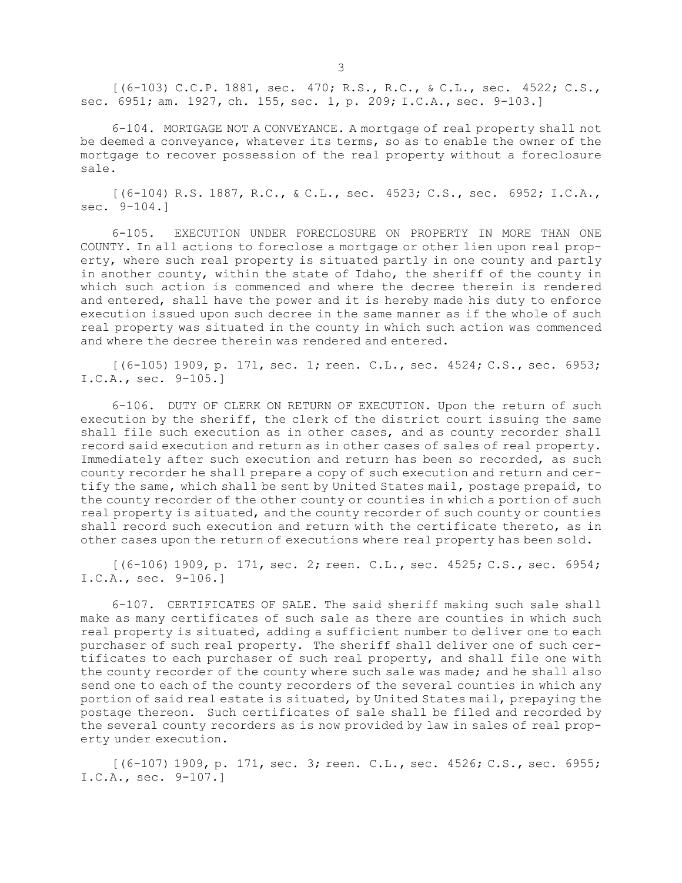[(6-103) C.C.P. 1881, sec. 470; R.S., R.C., & C.L., sec. 4522; C.S., sec. 6951; am. 1927, ch. 155, sec. 1, p. 209; I.C.A., sec. 9-103.]

6-104. MORTGAGE NOT A CONVEYANCE. A mortgage of real property shall not be deemed <sup>a</sup> conveyance, whatever its terms, so as to enable the owner of the mortgage to recover possession of the real property without <sup>a</sup> foreclosure sale.

[(6-104) R.S. 1887, R.C., & C.L., sec. 4523; C.S., sec. 6952; I.C.A., sec. 9-104.]

6-105. EXECUTION UNDER FORECLOSURE ON PROPERTY IN MORE THAN ONE COUNTY. In all actions to foreclose <sup>a</sup> mortgage or other lien upon real property, where such real property is situated partly in one county and partly in another county, within the state of Idaho, the sheriff of the county in which such action is commenced and where the decree therein is rendered and entered, shall have the power and it is hereby made his duty to enforce execution issued upon such decree in the same manner as if the whole of such real property was situated in the county in which such action was commenced and where the decree therein was rendered and entered.

[(6-105) 1909, p. 171, sec. 1; reen. C.L., sec. 4524; C.S., sec. 6953; I.C.A., sec. 9-105.]

6-106. DUTY OF CLERK ON RETURN OF EXECUTION. Upon the return of such execution by the sheriff, the clerk of the district court issuing the same shall file such execution as in other cases, and as county recorder shall record said execution and return as in other cases of sales of real property. Immediately after such execution and return has been so recorded, as such county recorder he shall prepare <sup>a</sup> copy of such execution and return and certify the same, which shall be sent by United States mail, postage prepaid, to the county recorder of the other county or counties in which <sup>a</sup> portion of such real property is situated, and the county recorder of such county or counties shall record such execution and return with the certificate thereto, as in other cases upon the return of executions where real property has been sold.

[(6-106) 1909, p. 171, sec. 2; reen. C.L., sec. 4525; C.S., sec. 6954; I.C.A., sec. 9-106.]

6-107. CERTIFICATES OF SALE. The said sheriff making such sale shall make as many certificates of such sale as there are counties in which such real property is situated, adding <sup>a</sup> sufficient number to deliver one to each purchaser of such real property. The sheriff shall deliver one of such certificates to each purchaser of such real property, and shall file one with the county recorder of the county where such sale was made; and he shall also send one to each of the county recorders of the several counties in which any portion of said real estate is situated, by United States mail, prepaying the postage thereon. Such certificates of sale shall be filed and recorded by the several county recorders as is now provided by law in sales of real property under execution.

[(6-107) 1909, p. 171, sec. 3; reen. C.L., sec. 4526; C.S., sec. 6955; I.C.A., sec. 9-107.]